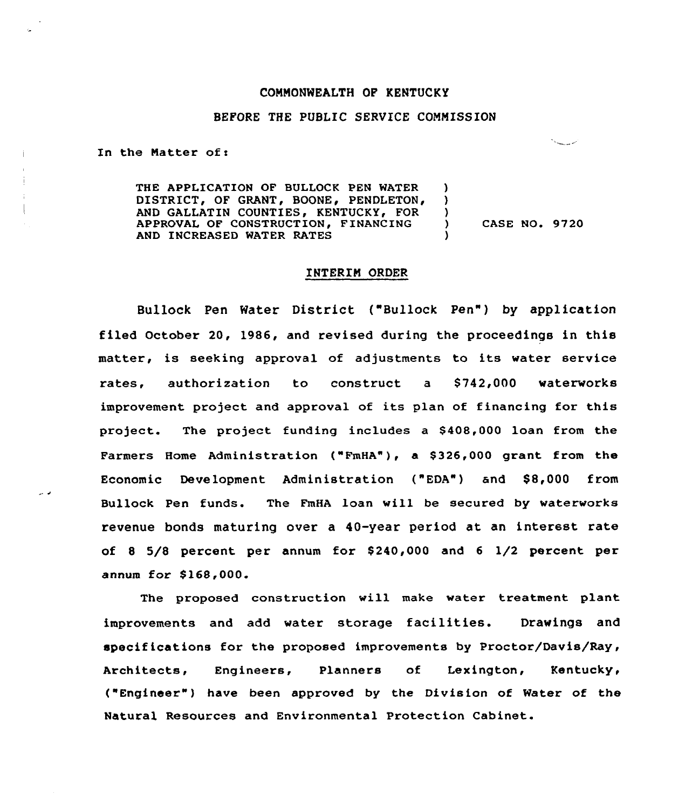### CONNONWEALTH OF KENTUCKY

#### BEFORE THE PUBLIC SERVICE CONMISSION

In the Matter of:

د د

THE APPLICATION OF BULLOCK PEN WATER DISTRICT, OF GRANT, BOONE, PENDLETON, GALLATIN COUNTIES, KENTUCKY, FOR APPROVAL OF CONSTRUCTION, FINANCING AND INCREASED WATER RATES ) )  $\left\{ \right.$ CASE NO. 9720 )

## INTERIN ORDER

Bullock Pen Water District ("Bullock Pen") by application filed October 20, 1986, and revised during the proceedings in this matter, is seeking approval of adjustments to its water service rates, authorization to construct a \$742,000 waterworks improvement project and approval of its plan of financing for this project. The project funding includes a \$ 408,000 loan from the Farmers Home Administration ("FmHA"), a \$326,000 grant from the Economic Development Administration ("EDA") and \$8,000 from Bullock Pen funds. The FmHA loan vill be secured by waterworks revenue bonds maturing over a 40-year period at an interest rate of <sup>8</sup> 5/8 percent per annum for \$ 240,000 and <sup>6</sup> 1/2 percent per annum for \$ 168,000.

The proposed construction will make water treatment plant improvements and add water storage facilities. Drawings and specifications for the proposed improvements by Proctor/Davis/Ray, Architects, Engineers, Planners of Lexington, Kentucky, ("Engineer") have been approved by the Division of Water of the Natural Resources and Environmental Protection Cabinet.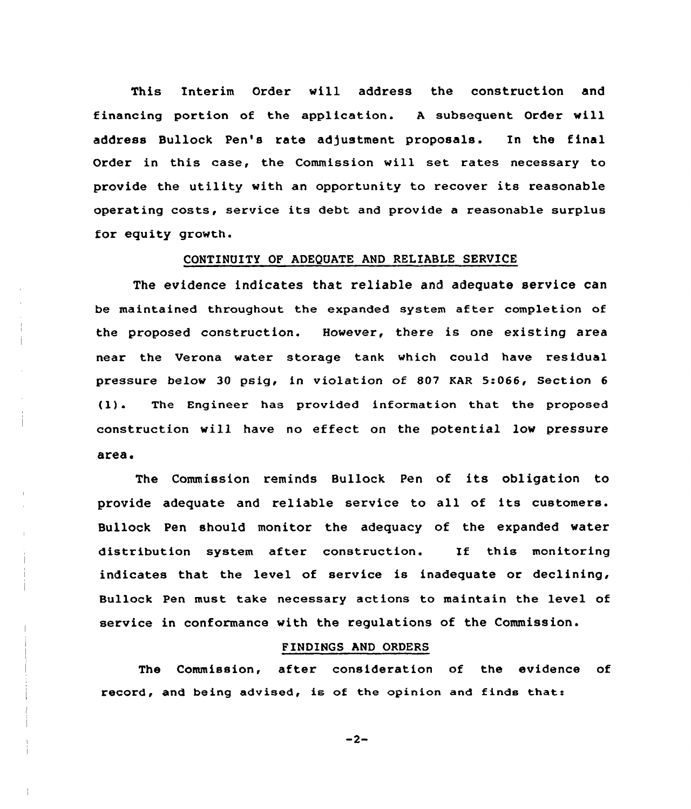This Interim Order will address the construction and financing portion of the application. <sup>A</sup> subsequent Order will address Bullock Pen's rate adjustment proposals. In the final Order in this case, the Commission wil1 set rates necessary to provide the utility with an opportunity to recover its reascnable operating costs, service its debt and provide <sup>a</sup> reasonable surplus for equity growth.

## CONTINUITY OF ADEQUATE AND RELIABLE SERVICE

The evidence indicates that reliable and adequate service can be maintained throughout the expanded system after completion of the proposed construction. However, there is one existing area near the Verona water storage tank which could have residual pressure be1ow 30 psig< in violation of 807 KAR 5:066, Section <sup>6</sup> (1}. The Engineer has provided information that the proposed construction will have no effect on the potential low pressure area.

The Commission reminds Bullock Pen of its obligation to provide adequate and reliable service to all of its customers. Bullock Pen should monitor the adequacy of the expanded water distribution system after construction. If this monitoring indicates that the level of service is inadequate or declining, Bullock Pen must take necessary actions to maintain the level of service in conformance with the regulations of the Commission.

# FINDINGS AND ORDERS

The Commission, after consideration of the evidence of record, and being advised, is of the opinion and finds that:

 $-2-$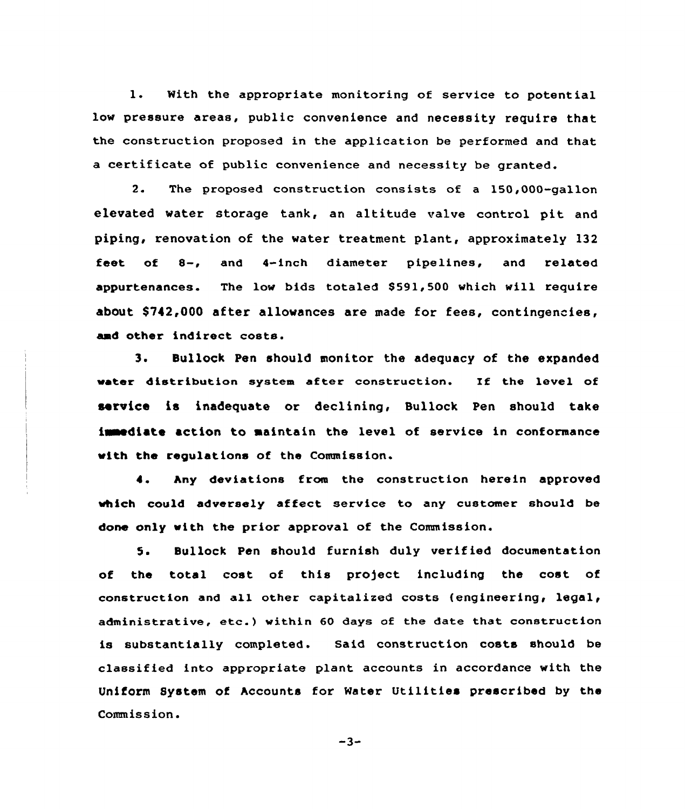1. With the appropriate monitoring of service to potential low pressure areas, public convenience and necessity require that the construction proposed in the application be performed and that a certificate of public convenience and necessity be granted.

2. The proposed construction consists of a 150,000-gallon elevated water storage tank, an altitude valve control pit and piping, renovation of the water treatment plant, approximately 132 feet of 8-, and 4-inch diameter pipelines, and related appurtenances. The low bids totaled \$591,500 which will require about \$ 742,000 after allowances are made for fees, contingencies, amd other indirect costs.

3. Bullock Pen should monitor the adequacy of the expanded vater distribution system after construction. If the level of service is inadequate or declining, Bullock Pen should take imediate action to maintain the level of service in conformance with the regulations of the Commission.

4. hny deviations from the construction herein approved which could adversely affect service to any customer should be done only with the prior approval of the Commission.

5 <sup>~</sup> Bullock Pen should furnish duly verified documentation of the total cost of this project including the cost of construction and all other capitalized costs (engineering, legal, administrative, etc.) within <sup>60</sup> days of the date that construction is substantially completed. Said construction costs should be classified into appropriate plant accounts in accordance with the Uniform System of hccounts for Meter Utilities prescribed by the Commission.

 $-3-$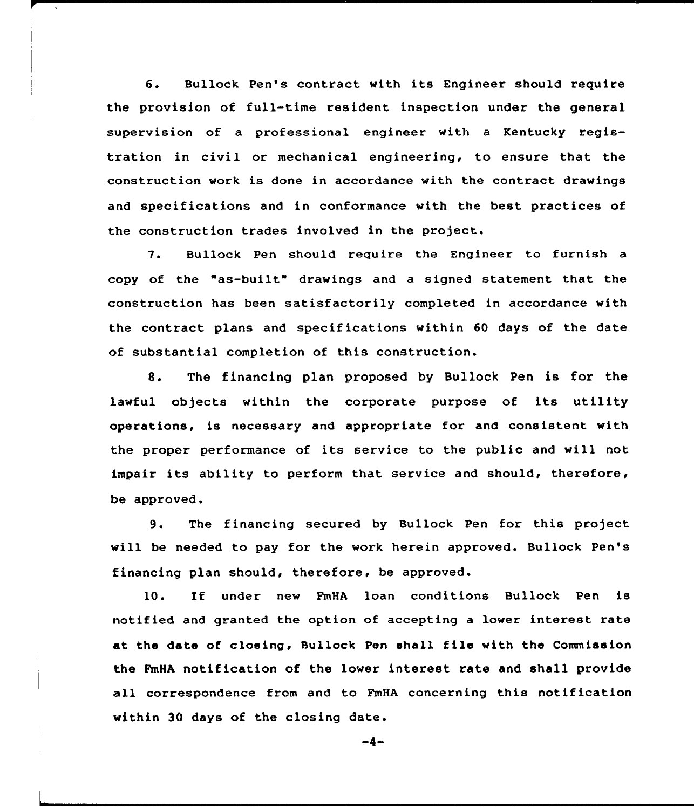6. Bullock Pen's contract with its Engineer should require the provision of full-time resident inspection under the general supervision of a professional engineer with a Kentucky registration in civil or mechanical engineering, to ensure that the construction work is done in accordance with the contract drawings and specifications and in conformance with the best practices of the construction trades involved in the project.

7. Bullock Pen should require the Engineer to furnish a copy of the "as-built" drawings and <sup>a</sup> signed statement that the construction has been satisfactorily completed in accordance with the contract plans and specifications within 60 days of the date of substantial completion of this construction.

8. The financing plan proposed by Bullock Pen is for the lawful objects within the corporate purpose of its utility operations, is necessary and appropriate for and consistent with the proper performance of its service to the public and will not impair its ability to perform that service and should, therefore, be approved.

9. The financing secured by Bullock Pen for this project will be needed to pay for the work herein approved. Bullock Pen's financing plan should, therefore, be approved.

10. If under new FmHA loan conditions Bullock Pen is notified and granted the option of accepting a lower interest rate at the date of closing, Bullock Pen shall file with the Commission the FmHA notification of the lower interest rate and shall provide all correspondence from and to FmHA concerning this notification within 30 days of the closing date.

 $-4-$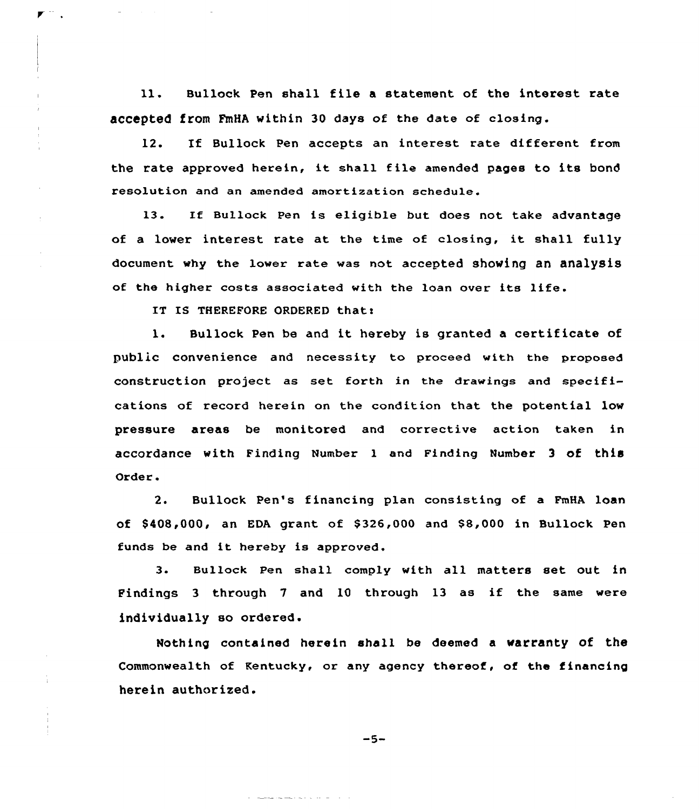ll. Bullock Pen shall file <sup>a</sup> statement of the interest rate accepted from FmHA within 30 days of the date of closing.

12. If Bullock Pen accepts an interest rate different from the rate approved herein, it shall file amended pages to its bond resolution and an amended amortization schedule.

13. If Bullock Pen is eligible but does not take advantage of <sup>a</sup> lower interest rate at the time of closing, it shall fully document why the lower rate was not accepted showing an analysis of the higher costs associated with the loan over its life.

IT IS THEREFORE ORDERED that:

l. Bullock Pen be and it hereby is granted <sup>a</sup> certificate of public convenience and necessity to proceed with the proposed construction project as set forth in the drawings and specifications of record herein on the condition that the potential low pressure areas be monitored and corrective action taken in accordance with Finding Number 1 and Finding Number 3 of this Order.

2. Bullock Pen's financing plan consisting of a FmHA loan of  $$408,000$ , an EDA grant of  $$326,000$  and  $$8,000$  in Bullock Pen funds be and it hereby is approved.

3. Bullock pen shall comply with all matters set out in Findings <sup>3</sup> through <sup>7</sup> and 10 through 13 as if the same were individually so ordered.

Nothing contained herein shall be deemed a warranty of the Commonwealth of Kentucky, or any agency thereof, of the financing herein authorised.

 $-5-$